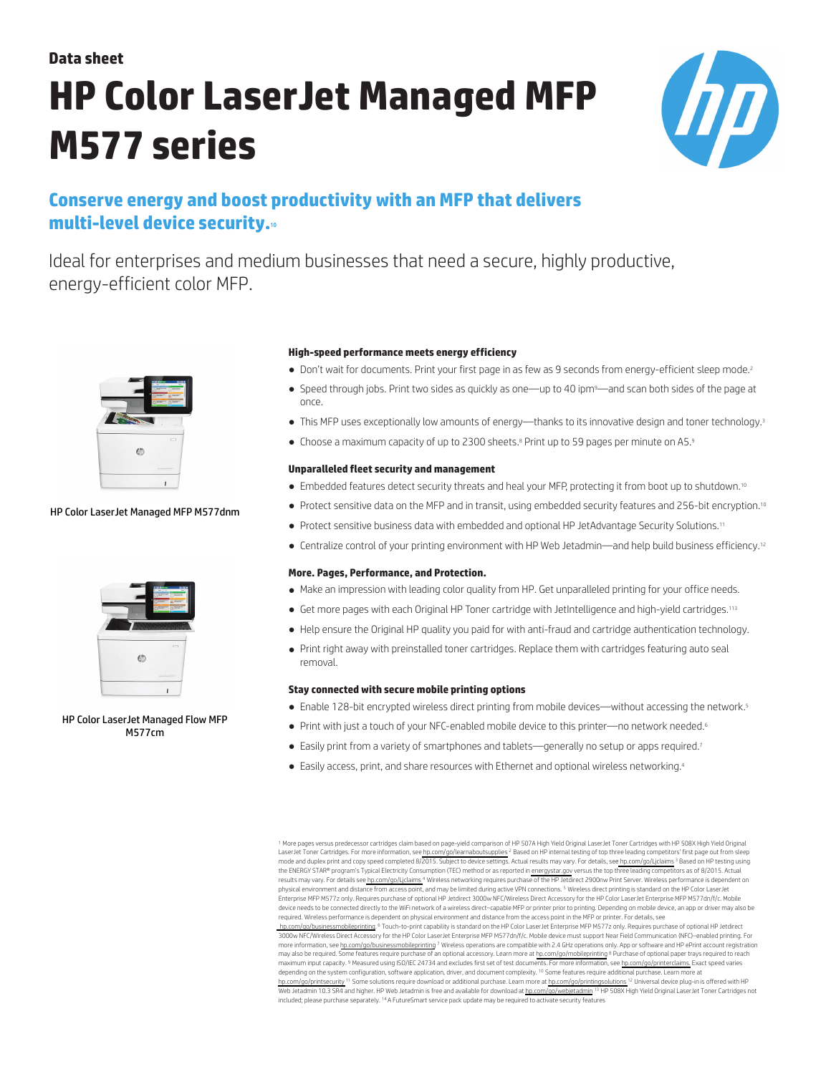## **Data sheet**

# **HP Color LaserJet Managed MFP M577 series**



# **Conserve energy and boost productivity with an MFP that delivers multi-level device security.**<sup>10</sup>

Ideal for enterprises and medium businesses that need a secure, highly productive, energy-efficient color MFP.



## HP Color LaserJet Managed MFP M577dnm



HP Color LaserJet Managed Flow MFP M577cm

#### **High-speed performance meets energy efficiency**

- Don't wait for documents. Print your first page in as few as 9 seconds from energy-efficient sleep mode.<sup>2</sup>
- Speed through jobs. Print two sides as quickly as one—up to 40 ipm9—and scan both sides of the page at once.
- This MFP uses exceptionally low amounts of energy—thanks to its innovative design and toner technology.<sup>3</sup>
- Choose a maximum capacity of up to 2300 sheets.<sup>8</sup> Print up to 59 pages per minute on A5.<sup>9</sup>

## **Unparalleled fleet security and management**

- Embedded features detect security threats and heal your MFP, protecting it from boot up to shutdown.<sup>10</sup>
- Protect sensitive data on the MFP and in transit, using embedded security features and 256-bit encryption.<sup>10</sup>
- Protect sensitive business data with embedded and optional HP JetAdvantage Security Solutions.<sup>11</sup>
- Centralize control of your printing environment with HP Web Jetadmin—and help build business efficiency.<sup>12</sup>

## **More. Pages, Performance, and Protection.**

- Make an impression with leading color quality from HP. Get unparalleled printing for your office needs.
- Get more pages with each Original HP Toner cartridge with JetIntelligence and high-yield cartridges.<sup>113</sup>
- Help ensure the Original HP quality you paid for with anti-fraud and cartridge authentication technology.
- Print right away with preinstalled toner cartridges. Replace them with cartridges featuring auto seal removal.

## **Stay connected with secure mobile printing options**

- Enable 128-bit encrypted wireless direct printing from mobile devices—without accessing the network.<sup>5</sup>
- Print with just a touch of your NFC-enabled mobile device to this printer—no network needed.<sup>6</sup>
- · Easily print from a variety of smartphones and tablets—generally no setup or apps required.<sup>7</sup>
- Easily access, print, and share resources with Ethernet and optional wireless networking.<sup>4</sup>

<sup>1</sup> More pages versus predecessor cartridges claim based on page-yield comparison of HP 507A High Yield Original LaserJet Toner Cartridges with HP 508X High Yield Original<br>LaserJet Toner Cartridges. For more information, s mode and duplex print and copy speed completed 8/2015. Subject to device settings. Actual results may vary. For details, se[e hp.com/go/Ljclaims](http://www.hp.com/go/Ljclaims) <sup>3</sup> Based on HP testing using the ENERGY STAR® program's Typical Electricity Consumption (TEC) method or as reported in [energystar.gov](http://energystar.gov) versus the top three leading competitors as of 8/2015. Actual results may vary. For details see [hp.com/go/Ljclaims](http://www.hp.com/go/Ljclaims) <sup>4</sup> Wireless networking requires purchase of the HP Jetdirect 2900nw Print Server. Wireless performance is dependent on physical environment and distance from access point, and may be limited during active VPN connections. <sup>5</sup> Wireless direct printing is standard on the HP Color LaserJet Enterprise MFP M577z only. Requires purchase of optional HP Jetdirect 3000w NFC/Wireless Direct Accessory for the HP Color LaserJet Enterprise MFP M577dn/f/c. Mobile device needs to be connected directly to the WiFi network of a wireless direct–capable MFP or printer prior to printing. Depending on mobile device, an app or driver may also be<br>required. Wireless performance is dependent hp.com/go/businessmobileprinting. <sup>6</sup> Touch-to-print capability is standard on the HP Color LaserJet Enterprise MFP M577z only. Requires purchase of optional HP Jetdirect<br>3000w NFC/Wireless Direct Accessory for the HP Colo more information, see [hp.com/go/businessmobileprinting](http://www.hp.com/go/businessmobileprinting) <sup>7</sup> Wireless operations are compatible with 2.4 GHz operations only. App or software and HP ePrint account registration may also be required. Some features require purchase of an optional accessory. Learn more at [hp.com/go/mobileprinting](http://www.hp.com/go/mobileprinting) <sup>8</sup> Purchase of optional paper trays required to reach maximum input capacity. <sup>9</sup> Measured using ISO/IEC 24734 and excludes first set of test documents. For more information, see [hp.com/go/printerclaims.](http://www.hp.com/go/printerclaims) Exact speed varies depending on the system configuration, software application, driver, and document complexity.<sup>10</sup> Some features require additional purchase. Learn more at [hp.com/go/printsecurity](http://www.hp.com/go/printsecurity) <sup>11</sup> Some solutions require download or additional purchase. Learn more at [hp.com/go/printingsolutions](http://www.hp.com/go/printingsolutions) <sup>12</sup> Universal device plug-in is offered with HP Web Jetadmin 10.3 SR4 and higher. HP Web Jetadmin is free and available for download at [hp.com/go/webjetadmin](http://www.hp.com/go/webjetadmin) <sup>13</sup> HP 508X High Yield Original LaserJet Toner Cartridges not included; please purchase separately. <sup>14</sup>A FutureSmart service pack update may be required to activate security features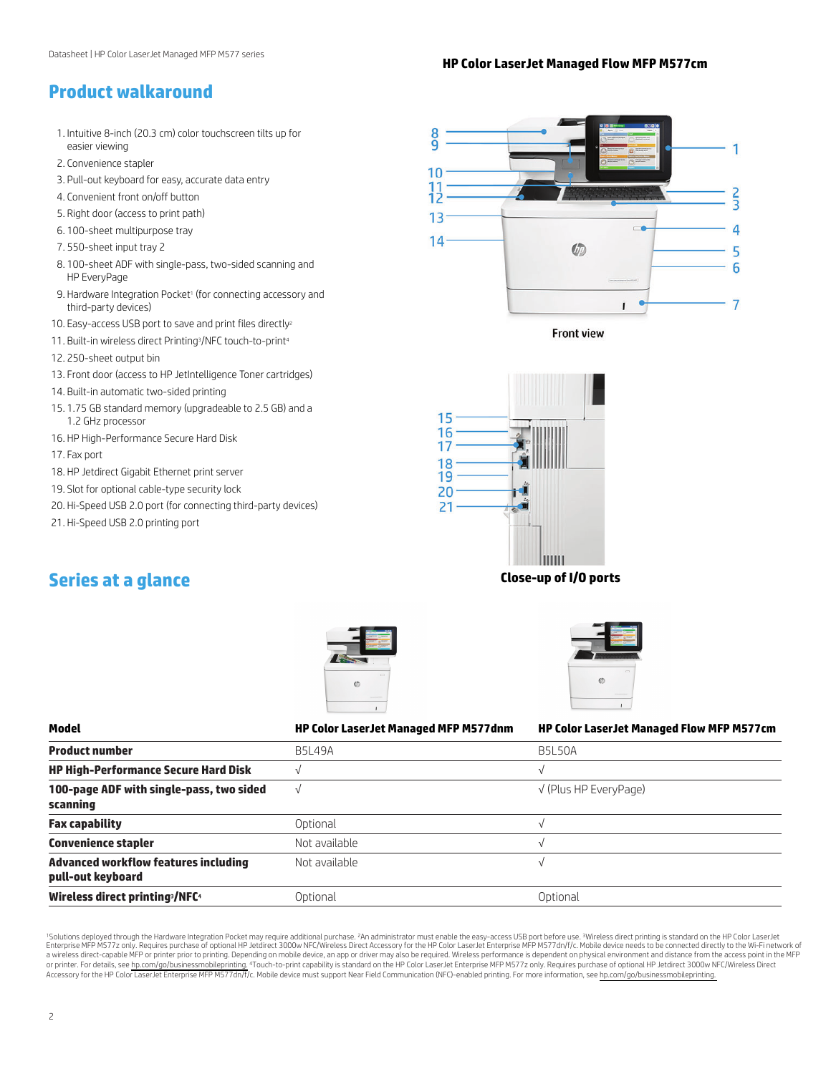## **HP Color LaserJet Managed Flow MFP M577cm**

## **Product walkaround**

- 1. Intuitive 8-inch (20.3 cm) color touchscreen tilts up for easier viewing
- 2. Convenience stapler
- 3. Pull-out keyboard for easy, accurate data entry
- 4. Convenient front on/off button
- 5. Right door (access to print path)
- 6. 100-sheet multipurpose tray
- 7. 550-sheet input tray 2
- 8. 100-sheet ADF with single-pass, two-sided scanning and HP EveryPage
- 9. Hardware Integration Pocket<sup>1</sup> (for connecting accessory and third-party devices)
- 10. Easy-access USB port to save and print files directly<sup>2</sup>
- 11. Built-in wireless direct Printing3/NFC touch-to-print<sup>4</sup>
- 12. 250-sheet output bin
- 13. Front door (access to HP JetIntelligence Toner cartridges)
- 14. Built-in automatic two-sided printing
- 15. 1.75 GB standard memory (upgradeable to 2.5 GB) and a 1.2 GHz processor
- 16. HP High-Performance Secure Hard Disk
- 17. Fax port
- 18. HP Jetdirect Gigabit Ethernet print server
- 19. Slot for optional cable-type security lock
- 20. Hi-Speed USB 2.0 port (for connecting third-party devices)
- 21. Hi-Speed USB 2.0 printing port

## 8 1 10  $\frac{11}{12}$  $\frac{2}{3}$  $1<sub>3</sub>$  $\overline{\phantom{0}}$ 4 14 **Chin** 5 6  $\overline{7}$

**Front view** 



**Series at a glance Close-up of I/O ports**





| Model                                                            | <b>HP Color LaserJet Managed MFP M577dnm</b> | <b>HP Color LaserJet Managed Flow MFP M577cm</b> |
|------------------------------------------------------------------|----------------------------------------------|--------------------------------------------------|
| <b>Product number</b>                                            | <b>B5L49A</b>                                | <b>B5L50A</b>                                    |
| <b>HP High-Performance Secure Hard Disk</b>                      |                                              |                                                  |
| 100-page ADF with single-pass, two sided<br>scanning             |                                              | $\sqrt{}$ (Plus HP EveryPage)                    |
| <b>Fax capability</b>                                            | Optional                                     | V                                                |
| <b>Convenience stapler</b>                                       | Not available                                |                                                  |
| <b>Advanced workflow features including</b><br>pull-out keyboard | Not available                                |                                                  |
| Wireless direct printing /NFC4                                   | Optional                                     | Optional                                         |

<sup>1</sup>Solutions deployed through the Hardware Integration Pocket may require additional purchase. <sup>2</sup>An administrator must enable the easy-access USB port before use. <sup>3</sup>Wireless direct printing is standard on the HP Color La a wireless direct-capable MFP or printer prior to printing. Depending on mobile device, an app or driver may also be required. Wireless performance is dependent on physical environment and distance from the access point in or printer. For details, see [hp.com/go/businessmobileprinting.](http://www.hp.com/go/businessmobileprinting) "Touch-to-print capability is standard on the HP Color LaserJet Enterprise MFP M577z only. Requires purchase of optional HP Jetdirect 3000w NFC/Wireless Direct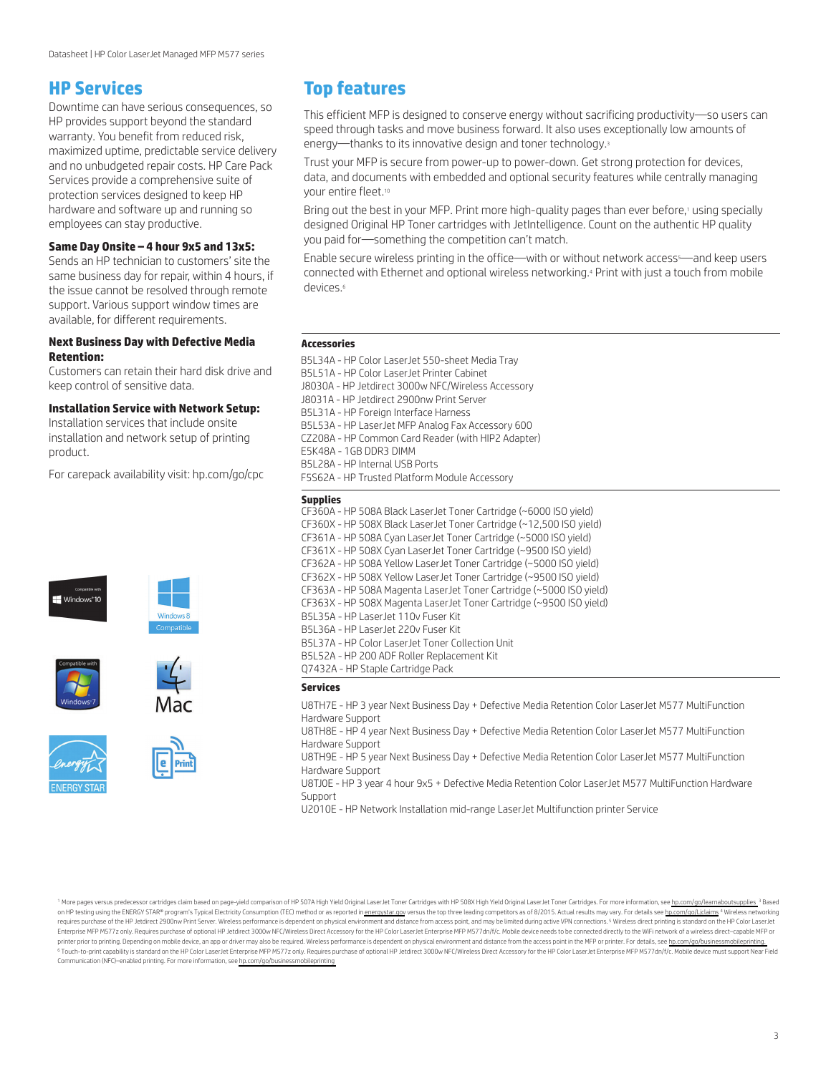## **HP Services**

Downtime can have serious consequences, so HP provides support beyond the standard warranty. You benefit from reduced risk, maximized uptime, predictable service delivery and no unbudgeted repair costs. HP Care Pack Services provide a comprehensive suite of protection services designed to keep HP hardware and software up and running so employees can stay productive.

## **Same Day Onsite – 4 hour 9x5 and 13x5:**

Sends an HP technician to customers' site the same business day for repair, within 4 hours, if the issue cannot be resolved through remote support. Various support window times are available, for different requirements.

## **Next Business Day with Defective Media Retention:**

Customers can retain their hard disk drive and keep control of sensitive data.

## **Installation Service with Network Setup:**

Installation services that include onsite installation and network setup of printing product.

For carepack availability visit: [hp.com/go/cpc](http://hp.com/go/cpc)









## **Top features**

This efficient MFP is designed to conserve energy without sacrificing productivity—so users can speed through tasks and move business forward. It also uses exceptionally low amounts of energy—thanks to its innovative design and toner technology.<sup>3</sup>

Trust your MFP is secure from power-up to power-down. Get strong protection for devices, data, and documents with embedded and optional security features while centrally managing your entire fleet.<sup>10</sup>

Bring out the best in your MFP. Print more high-quality pages than ever before,<sup>1</sup> using specially designed Original HP Toner cartridges with JetIntelligence. Count on the authentic HP quality you paid for—something the competition can't match.

Enable secure wireless printing in the office--with or without network access<sup>s---</sup>and keep users connected with Ethernet and optional wireless networking.<sup>4</sup> Print with just a touch from mobile devices 6

### **Accessories**

B5L34A - HP Color LaserJet 550-sheet Media Tray B5L51A - HP Color LaserJet Printer Cabinet J8030A - HP Jetdirect 3000w NFC/Wireless Accessory J8031A - HP Jetdirect 2900nw Print Server B5L31A - HP Foreign Interface Harness B5L53A - HP LaserJet MFP Analog Fax Accessory 600 CZ208A - HP Common Card Reader (with HIP2 Adapter) E5K48A - 1GB DDR3 DIMM B5L28A - HP Internal USB Ports F5S62A - HP Trusted Platform Module Accessory

#### **Supplies**

CF360A - HP 508A Black LaserJet Toner Cartridge (~6000 ISO yield) CF360X - HP 508X Black LaserJet Toner Cartridge (~12,500 ISO yield) CF361A - HP 508A Cyan LaserJet Toner Cartridge (~5000 ISO yield) CF361X - HP 508X Cyan LaserJet Toner Cartridge (~9500 ISO yield) CF362A - HP 508A Yellow LaserJet Toner Cartridge (~5000 ISO yield) CF362X - HP 508X Yellow LaserJet Toner Cartridge (~9500 ISO yield) CF363A - HP 508A Magenta LaserJet Toner Cartridge (~5000 ISO yield) CF363X - HP 508X Magenta LaserJet Toner Cartridge (~9500 ISO yield) B5L35A - HP LaserJet 110v Fuser Kit B5L36A - HP LaserJet 220v Fuser Kit B5L37A - HP Color LaserJet Toner Collection Unit B5L52A - HP 200 ADF Roller Replacement Kit Q7432A - HP Staple Cartridge Pack

#### **Services**

U8TH7E - HP 3 year Next Business Day + Defective Media Retention Color LaserJet M577 MultiFunction Hardware Support

U8TH8E - HP 4 year Next Business Day + Defective Media Retention Color LaserJet M577 MultiFunction Hardware Support

U8TH9E - HP 5 year Next Business Day + Defective Media Retention Color LaserJet M577 MultiFunction Hardware Support

U8TJ0E - HP 3 year 4 hour 9x5 + Defective Media Retention Color LaserJet M577 MultiFunction Hardware Support

U2010E - HP Network Installation mid-range LaserJet Multifunction printer Service

<sup>1</sup> More pages versus predecessor cartridges claim based on page-yield comparison of HP 507A High Yield Original LaserJet Toner Cartridges with HP 508X High Yield Original LaserJet Toner Cartridges. For more information, s on HP testing using the ENERGY STAR® program's Typical Electricity Consumption (TEC) method or as reported in [energystar.gov](http://energystar.gov) versus the top three leading competitors as of 8/2015. Actual results may vary. For details see h requires purchase of the HP Jetdirect 2900nw Print Server. Wireless performance is dependent on physical environment and distance from access point, and may be limited during active VPN connections.<sup>5</sup> Wireless direct prin Enterprise MFP M577z only. Requires purchase of optional HP Jetdirect 3000w NFC/Wireless Direct Accessory for the HP Color LaserJet Enterprise MFP M577dn/f/c. Mobile device needs to be connected directly to the WiFi networ printer prior to printing. Depending on mobile device, an app or driver may also be required. Wireless performance is dependent on physical environment and distance from the access point in the MFP or printer. For details, 6 Touch-to-print capability is standard on the HP Color LaserJet Enterprise MFP M577z only. Requires purchase of optional HP Jetdirect 3000w NFC/Wireless Direct Accessory for the HP Color LaserJet Enterprise MFP M577dn/f/c Communication (NFC)–enabled printing. For more information, see [hp.com/go/businessmobileprinting](http://www.hp.com/go/businessmobileprinting)